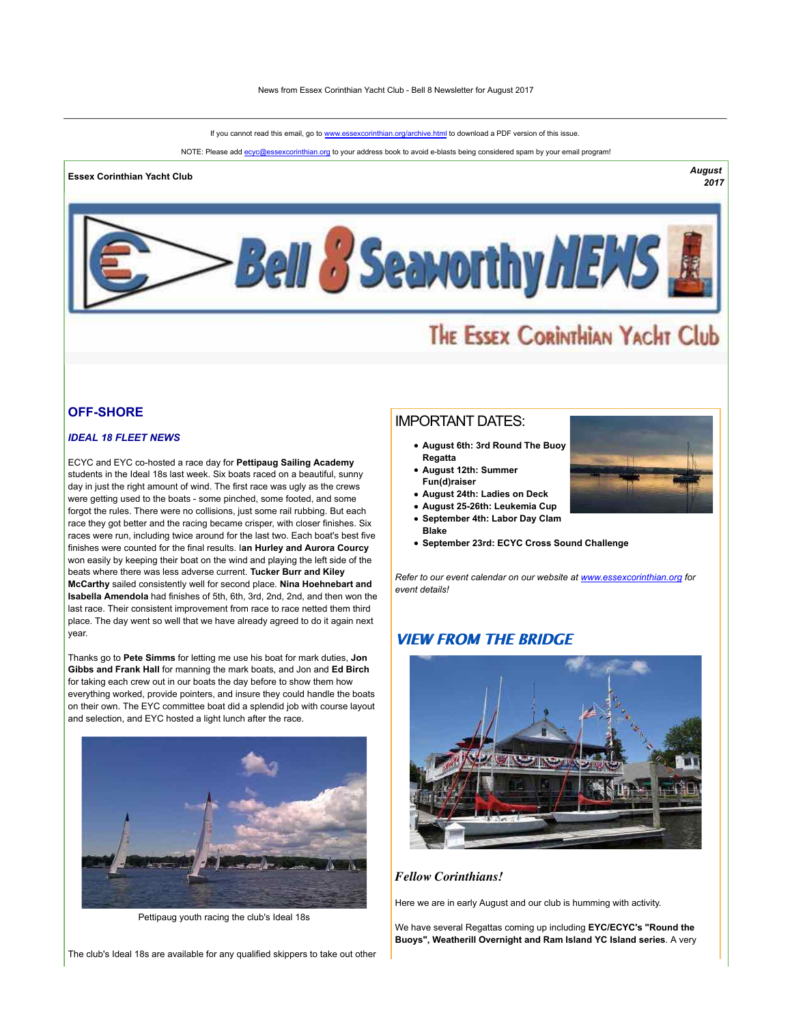If you cannot read this email, go to www.essexcorinthian.org/archive.html to download a PDF version of this issue.

NOTE: Please add ecyc@essexcorinthian.org to your address book to avoid e-blasts being considered spam by your email program!

# **Essex Corinthian Yacht Club** *August*

*2017*



# THE ESSEX CORINTHIAN YACHT Club

# **OFF-SHORE**

## *IDEAL 18 FLEET NEWS*

ECYC and EYC co-hosted a race day for **Pettipaug Sailing Academy** students in the Ideal 18s last week. Six boats raced on a beautiful, sunny day in just the right amount of wind. The first race was ugly as the crews were getting used to the boats - some pinched, some footed, and some forgot the rules. There were no collisions, just some rail rubbing. But each race they got better and the racing became crisper, with closer finishes. Six races were run, including twice around for the last two. Each boat's best five finishes were counted for the final results. I**an Hurley and Aurora Courcy** won easily by keeping their boat on the wind and playing the left side of the beats where there was less adverse current. **Tucker Burr and Kiley McCarthy** sailed consistently well for second place. **Nina Hoehnebart and Isabella Amendola** had finishes of 5th, 6th, 3rd, 2nd, 2nd, and then won the last race. Their consistent improvement from race to race netted them third place. The day went so well that we have already agreed to do it again next year.

Thanks go to **Pete Simms** for letting me use his boat for mark duties, **Jon Gibbs and Frank Hall** for manning the mark boats, and Jon and **Ed Birch** for taking each crew out in our boats the day before to show them how everything worked, provide pointers, and insure they could handle the boats on their own. The EYC committee boat did a splendid job with course layout and selection, and EYC hosted a light lunch after the race.



Pettipaug youth racing the club's Ideal 18s

#### The club's Ideal 18s are available for any qualified skippers to take out other

# IMPORTANT DATES:

- **August 6th: 3rd Round The Buoy Regatta**
- **August 12th: Summer Fun(d)raiser**

**Blake**

- **August 24th: Ladies on Deck**
- **August 25-26th: Leukemia Cup**
- **September 4th: Labor Day Clam**
- **September 23rd: ECYC Cross Sound Challenge**

*Refer to our event calendar on our website at www.essexcorinthian.org for event details!*

# **VIEW FROM THE BRIDGE**



#### *Fellow Corinthians!*

Here we are in early August and our club is humming with activity.

We have several Regattas coming up including **EYC/ECYC's "Round the Buoys", Weatherill Overnight and Ram Island YC Island series**. A very

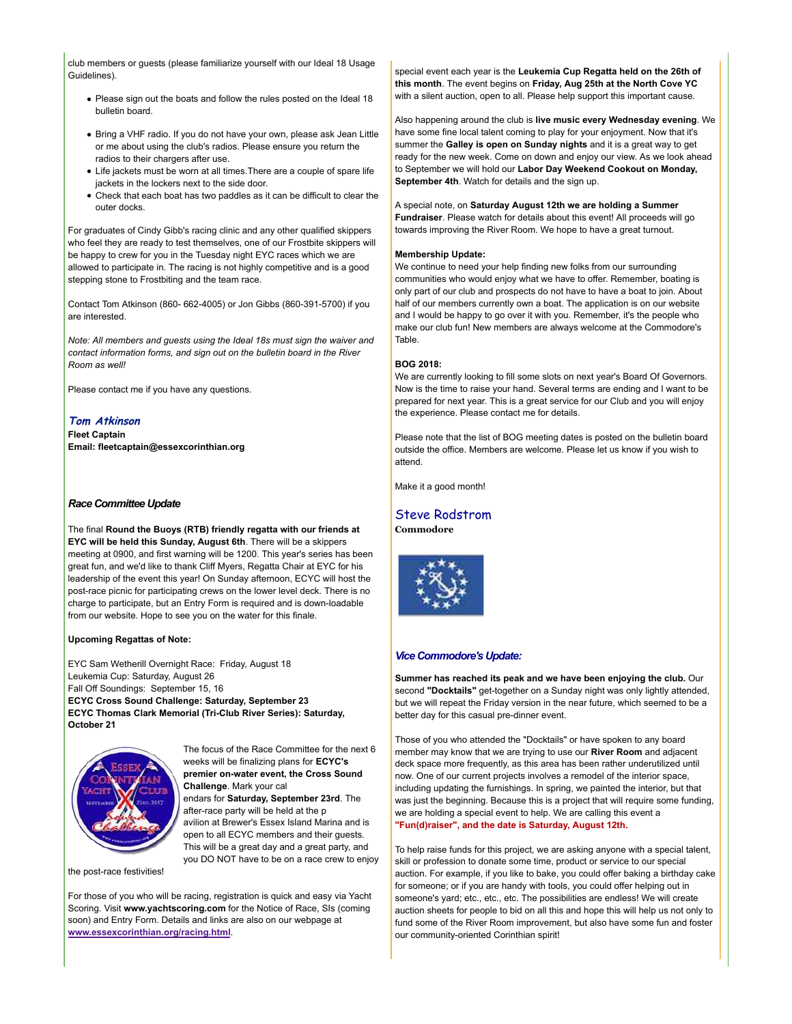club members or guests (please familiarize yourself with our Ideal 18 Usage Guidelines).

- Please sign out the boats and follow the rules posted on the Ideal 18 bulletin board.
- Bring a VHF radio. If you do not have your own, please ask Jean Little or me about using the club's radios. Please ensure you return the radios to their chargers after use.
- Life jackets must be worn at all times.There are a couple of spare life jackets in the lockers next to the side door.
- Check that each boat has two paddles as it can be difficult to clear the outer docks.

For graduates of Cindy Gibb's racing clinic and any other qualified skippers who feel they are ready to test themselves, one of our Frostbite skippers will be happy to crew for you in the Tuesday night EYC races which we are allowed to participate in. The racing is not highly competitive and is a good stepping stone to Frostbiting and the team race.

Contact Tom Atkinson (860- 662-4005) or Jon Gibbs (860-391-5700) if you are interested.

*Note: All members and guests using the Ideal 18s must sign the waiver and contact information forms, and sign out on the bulletin board in the River Room as well!*

Please contact me if you have any questions.

#### **Tom Atkinson**

**Fleet Captain Email: fleetcaptain@essexcorinthian.org**

#### *Race Committee Update*

The final **Round the Buoys (RTB) friendly regatta with our friends at EYC will be held this Sunday, August 6th**. There will be a skippers meeting at 0900, and first warning will be 1200. This year's series has been great fun, and we'd like to thank Cliff Myers, Regatta Chair at EYC for his leadership of the event this year! On Sunday afternoon, ECYC will host the post-race picnic for participating crews on the lower level deck. There is no charge to participate, but an Entry Form is required and is down-loadable from our website. Hope to see you on the water for this finale.

#### **Upcoming Regattas of Note:**

EYC Sam Wetherill Overnight Race: Friday, August 18 Leukemia Cup: Saturday, August 26 Fall Off Soundings: September 15, 16 **ECYC Cross Sound Challenge: Saturday, September 23 ECYC Thomas Clark Memorial (Tri-Club River Series): Saturday, October 21**



the post-race festivities!

The focus of the Race Committee for the next 6 weeks will be finalizing plans for **ECYC's premier on-water event, the Cross Sound Challenge**. Mark your cal endars for **Saturday, September 23rd**. The after-race party will be held at the p avilion at Brewer's Essex Island Marina and is open to all ECYC members and their guests. This will be a great day and a great party, and

you DO NOT have to be on a race crew to enjoy

For those of you who will be racing, registration is quick and easy via Yacht Scoring. Visit **www.yachtscoring.com** for the Notice of Race, SIs (coming soon) and Entry Form. Details and links are also on our webpage at **www.essexcorinthian.org/racing.html**.

special event each year is the **Leukemia Cup Regatta held on the 26th of this month**. The event begins on **Friday, Aug 25th at the North Cove YC** with a silent auction, open to all. Please help support this important cause.

Also happening around the club is **live music every Wednesday evening**. We have some fine local talent coming to play for your enjoyment. Now that it's summer the **Galley is open on Sunday nights** and it is a great way to get ready for the new week. Come on down and enjoy our view. As we look ahead to September we will hold our **Labor Day Weekend Cookout on Monday, September 4th**. Watch for details and the sign up.

A special note, on **Saturday August 12th we are holding a Summer Fundraiser**. Please watch for details about this event! All proceeds will go towards improving the River Room. We hope to have a great turnout.

#### **Membership Update:**

We continue to need your help finding new folks from our surrounding communities who would enjoy what we have to offer. Remember, boating is only part of our club and prospects do not have to have a boat to join. About half of our members currently own a boat. The application is on our website and I would be happy to go over it with you. Remember, it's the people who make our club fun! New members are always welcome at the Commodore's Table.

#### **BOG 2018:**

We are currently looking to fill some slots on next year's Board Of Governors. Now is the time to raise your hand. Several terms are ending and I want to be prepared for next year. This is a great service for our Club and you will enjoy the experience. Please contact me for details.

Please note that the list of BOG meeting dates is posted on the bulletin board outside the office. Members are welcome. Please let us know if you wish to attend.

Make it a good month!

# Steve Rodstrom

**Commodore**



#### *Vice Commodore's Update:*

**Summer has reached its peak and we have been enjoying the club.** Our second **"Docktails"** get-together on a Sunday night was only lightly attended, but we will repeat the Friday version in the near future, which seemed to be a better day for this casual pre-dinner event.

Those of you who attended the "Docktails" or have spoken to any board member may know that we are trying to use our **River Room** and adjacent deck space more frequently, as this area has been rather underutilized until now. One of our current projects involves a remodel of the interior space, including updating the furnishings. In spring, we painted the interior, but that was just the beginning. Because this is a project that will require some funding, we are holding a special event to help. We are calling this event a **"Fun(d)raiser", and the date is Saturday, August 12th.**

To help raise funds for this project, we are asking anyone with a special talent, skill or profession to donate some time, product or service to our special auction. For example, if you like to bake, you could offer baking a birthday cake for someone; or if you are handy with tools, you could offer helping out in someone's yard; etc., etc., etc. The possibilities are endless! We will create auction sheets for people to bid on all this and hope this will help us not only to fund some of the River Room improvement, but also have some fun and foster our community-oriented Corinthian spirit!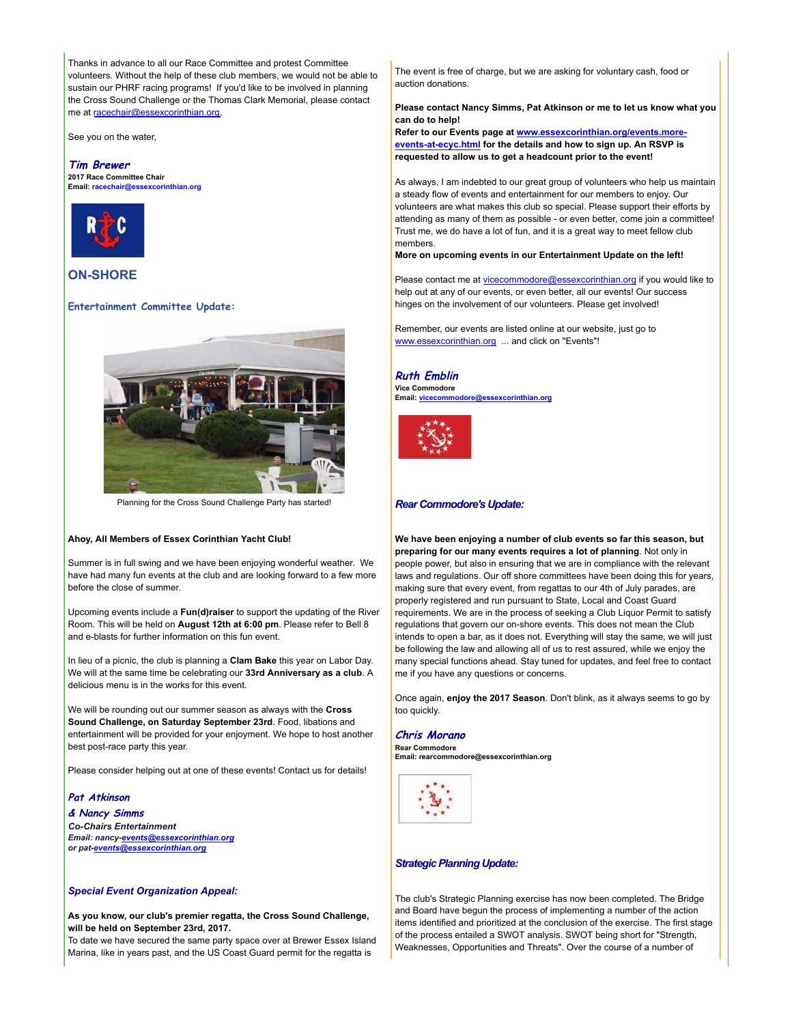Thanks in advance to all our Race Committee and protest Committee volunteers. Without the help of these club members, we would not be able to sustain our PHRF racing programs! If you'd like to be involved in planning the Cross Sound Challenge or the Thomas Clark Memorial, please contact me at racechair@essexcorinthian.org.

See you on the water,

#### **Tim Brewer**

**2017 Race Committee Chair Email: racechair@essexcorinthian.org**



# **ON-SHORE**

#### **Entertainment Committee Update:**



Planning for the Cross Sound Challenge Party has started!

#### **Ahoy, All Members of Essex Corinthian Yacht Club!**

Summer is in full swing and we have been enjoying wonderful weather. We have had many fun events at the club and are looking forward to a few more before the close of summer.

Upcoming events include a **Fun(d)raiser** to support the updating of the River Room. This will be held on **August 12th at 6:00 pm**. Please refer to Bell 8 and e-blasts for further information on this fun event.

In lieu of a picnic, the club is planning a **Clam Bake** this year on Labor Day. We will at the same time be celebrating our **33rd Anniversary as a club**. A delicious menu is in the works for this event.

We will be rounding out our summer season as always with the **Cross Sound Challenge, on Saturday September 23rd**. Food, libations and entertainment will be provided for your enjoyment. We hope to host another best post-race party this year.

Please consider helping out at one of these events! Contact us for details!

#### **Pat Atkinson**

**& Nancy Simms** *Co-Chairs Entertainment Email: nancy-events@essexcorinthian.org or pat-events@essexcorinthian.org*

#### *Special Event Organization Appeal:*

**As you know, our club's premier regatta, the Cross Sound Challenge, will be held on September 23rd, 2017.** 

To date we have secured the same party space over at Brewer Essex Island Marina, like in years past, and the US Coast Guard permit for the regatta is

The event is free of charge, but we are asking for voluntary cash, food or auction donations.

**Please contact Nancy Simms, Pat Atkinson or me to let us know what you can do to help!** 

**Refer to our Events page at www.essexcorinthian.org/events.moreevents-at-ecyc.html for the details and how to sign up. An RSVP is requested to allow us to get a headcount prior to the event!**

As always, I am indebted to our great group of volunteers who help us maintain a steady flow of events and entertainment for our members to enjoy. Our volunteers are what makes this club so special. Please support their efforts by attending as many of them as possible - or even better, come join a committee! Trust me, we do have a lot of fun, and it is a great way to meet fellow club members.

**More on upcoming events in our Entertainment Update on the left!**

Please contact me at vicecommodore@essexcorinthian.org if you would like to help out at any of our events, or even better, all our events! Our success hinges on the involvement of our volunteers. Please get involved!

Remember, our events are listed online at our website, just go to www.essexcorinthian.org ... and click on "Events"!

#### **Ruth Emblin**

**Vice Commodore Email: vicecommodore@essexcorinthian.org**



#### *Rear Commodore's Update:*

**We have been enjoying a number of club events so far this season, but preparing for our many events requires a lot of planning**. Not only in people power, but also in ensuring that we are in compliance with the relevant laws and regulations. Our off shore committees have been doing this for years, making sure that every event, from regattas to our 4th of July parades, are properly registered and run pursuant to State, Local and Coast Guard requirements. We are in the process of seeking a Club Liquor Permit to satisfy regulations that govern our on-shore events. This does not mean the Club intends to open a bar, as it does not. Everything will stay the same, we will just be following the law and allowing all of us to rest assured, while we enjoy the many special functions ahead. Stay tuned for updates, and feel free to contact me if you have any questions or concerns.

Once again, **enjoy the 2017 Season**. Don't blink, as it always seems to go by too quickly.

## **Chris Morano**

**Rear Commodore Email: rearcommodore@essexcorinthian.org**



#### *Strategic Planning Update:*

The club's Strategic Planning exercise has now been completed. The Bridge and Board have begun the process of implementing a number of the action items identified and prioritized at the conclusion of the exercise. The first stage of the process entailed a SWOT analysis. SWOT being short for "Strength, Weaknesses, Opportunities and Threats". Over the course of a number of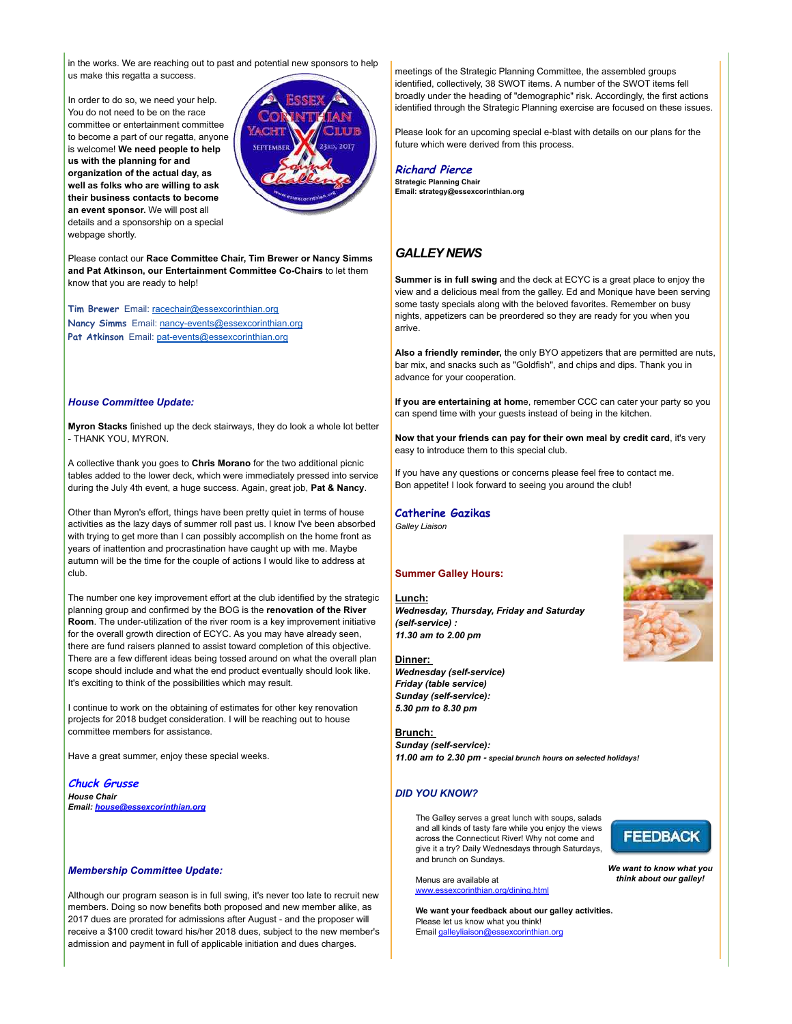in the works. We are reaching out to past and potential new sponsors to help us make this regatta a success.

In order to do so, we need your help. You do not need to be on the race committee or entertainment committee to become a part of our regatta, anyone is welcome! **We need people to help us with the planning for and organization of the actual day, as well as folks who are willing to ask their business contacts to become an event sponsor.** We will post all details and a sponsorship on a special webpage shortly.



Please contact our **Race Committee Chair, Tim Brewer or Nancy Simms and Pat Atkinson, our Entertainment Committee Co-Chairs** to let them know that you are ready to help!

**Tim Brewer** Email: racechair@essexcorinthian.org **Nancy Simms** Email: nancy-events@essexcorinthian.org Pat Atkinson Email: pat-events@essexcorinthian.org

#### *House Committee Update:*

**Myron Stacks** finished up the deck stairways, they do look a whole lot better - THANK YOU, MYRON.

A collective thank you goes to **Chris Morano** for the two additional picnic tables added to the lower deck, which were immediately pressed into service during the July 4th event, a huge success. Again, great job, **Pat & Nancy**.

Other than Myron's effort, things have been pretty quiet in terms of house activities as the lazy days of summer roll past us. I know I've been absorbed with trying to get more than I can possibly accomplish on the home front as years of inattention and procrastination have caught up with me. Maybe autumn will be the time for the couple of actions I would like to address at club.

The number one key improvement effort at the club identified by the strategic planning group and confirmed by the BOG is the **renovation of the River Room**. The under-utilization of the river room is a key improvement initiative for the overall growth direction of ECYC. As you may have already seen, there are fund raisers planned to assist toward completion of this objective. There are a few different ideas being tossed around on what the overall plan scope should include and what the end product eventually should look like. It's exciting to think of the possibilities which may result.

I continue to work on the obtaining of estimates for other key renovation projects for 2018 budget consideration. I will be reaching out to house committee members for assistance.

Have a great summer, enjoy these special weeks.

**Chuck Grusse** *House Chair Email: house@essexcorinthian.org*

#### *Membership Committee Update:*

Although our program season is in full swing, it's never too late to recruit new members. Doing so now benefits both proposed and new member alike, as 2017 dues are prorated for admissions after August - and the proposer will receive a \$100 credit toward his/her 2018 dues, subject to the new member's admission and payment in full of applicable initiation and dues charges.

meetings of the Strategic Planning Committee, the assembled groups identified, collectively, 38 SWOT items. A number of the SWOT items fell broadly under the heading of "demographic" risk. Accordingly, the first actions identified through the Strategic Planning exercise are focused on these issues.

Please look for an upcoming special e-blast with details on our plans for the future which were derived from this process.

**Richard Pierce Strategic Planning Chair Email: strategy@essexcorinthian.org**

## *GALLEY NEWS*

**Summer is in full swing** and the deck at ECYC is a great place to enjoy the view and a delicious meal from the galley. Ed and Monique have been serving some tasty specials along with the beloved favorites. Remember on busy nights, appetizers can be preordered so they are ready for you when you arrive.

**Also a friendly reminder,** the only BYO appetizers that are permitted are nuts, bar mix, and snacks such as "Goldfish", and chips and dips. Thank you in advance for your cooperation.

**If you are entertaining at hom**e, remember CCC can cater your party so you can spend time with your guests instead of being in the kitchen.

**Now that your friends can pay for their own meal by credit card**, it's very easy to introduce them to this special club.

If you have any questions or concerns please feel free to contact me. Bon appetite! I look forward to seeing you around the club!

## **Catherine Gazikas**

*Galley Liaison*

#### **Summer Galley Hours:**

**Lunch:** *Wednesday, Thursday, Friday and Saturday (self-service) : 11.30 am to 2.00 pm* 

#### **Dinner:**

*Wednesday (self-service) Friday (table service) Sunday (self-service): 5.30 pm to 8.30 pm*

**Brunch:**  *Sunday (self-service): 11.00 am to 2.30 pm - special brunch hours on selected holidays!*

# *DID YOU KNOW?*

The Galley serves a great lunch with soups, salads and all kinds of tasty fare while you enjoy the views across the Connecticut River! Why not come and give it a try? Daily Wednesdays through Saturdays, and brunch on Sundays.

Menus are available at www.essexcorinthian.org/dining.html

**We want your feedback about our galley activities.** Please let us know what you think! Email galleyliaison@essexcorinthian.org





*We want to know what you think about our galley!*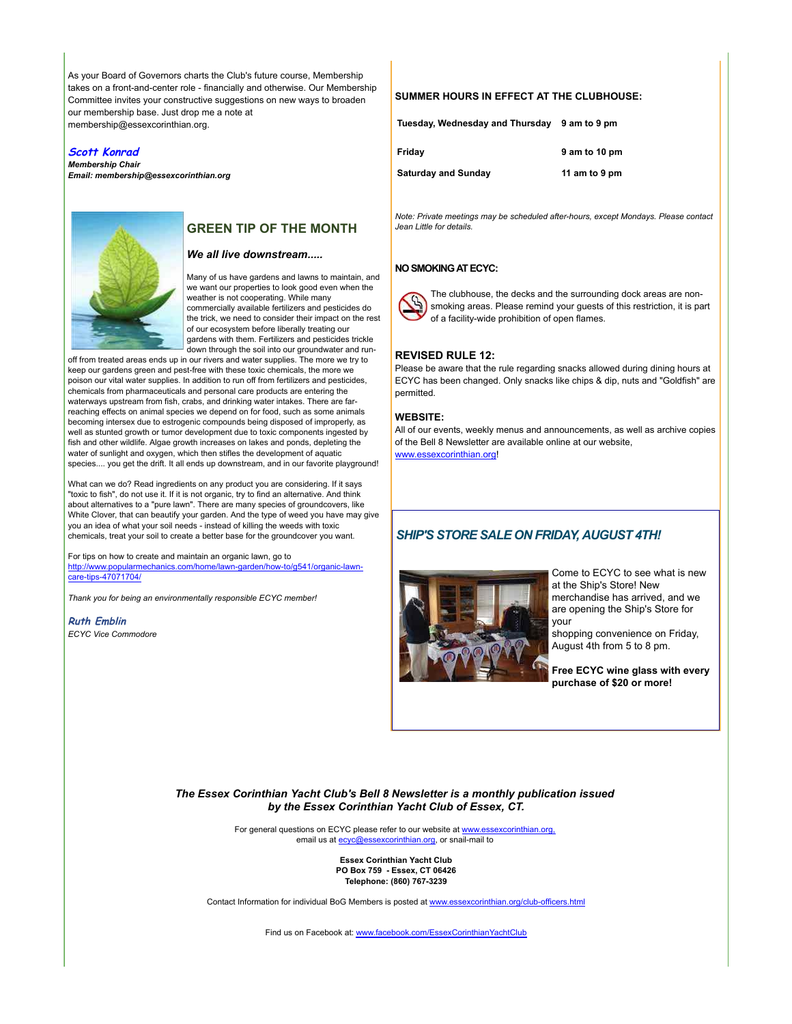As your Board of Governors charts the Club's future course, Membership takes on a front-and-center role - financially and otherwise. Our Membership Committee invites your constructive suggestions on new ways to broaden our membership base. Just drop me a note at membership@essexcorinthian.org.

#### **Scott Konrad**

*Membership Chair Email: membership@essexcorinthian.org*



# **GREEN TIP OF THE MONTH**

#### *We all live downstream.....*

Many of us have gardens and lawns to maintain, and we want our properties to look good even when the weather is not cooperating. While many commercially available fertilizers and pesticides do the trick, we need to consider their impact on the rest of our ecosystem before liberally treating our gardens with them. Fertilizers and pesticides trickle down through the soil into our groundwater and run-

off from treated areas ends up in our rivers and water supplies. The more we try to keep our gardens green and pest-free with these toxic chemicals, the more we poison our vital water supplies. In addition to run off from fertilizers and pesticides, chemicals from pharmaceuticals and personal care products are entering the waterways upstream from fish, crabs, and drinking water intakes. There are farreaching effects on animal species we depend on for food, such as some animals becoming intersex due to estrogenic compounds being disposed of improperly, as well as stunted growth or tumor development due to toxic components ingested by fish and other wildlife. Algae growth increases on lakes and ponds, depleting the water of sunlight and oxygen, which then stifles the development of aquatic species.... you get the drift. It all ends up downstream, and in our favorite playground!

What can we do? Read ingredients on any product you are considering. If it says "toxic to fish", do not use it. If it is not organic, try to find an alternative. And think about alternatives to a "pure lawn". There are many species of groundcovers, like White Clover, that can beautify your garden. And the type of weed you have may give you an idea of what your soil needs - instead of killing the weeds with toxic chemicals, treat your soil to create a better base for the groundcover you want.

For tips on how to create and maintain an organic lawn, go to http://www.popularmechanics.com/home/lawn-garden/how-to/g541/organic-lawncare-tips-47071704/

*Thank you for being an environmentally responsible ECYC member!*

**Ruth Emblin** *ECYC Vice Commodore*

## **SUMMER HOURS IN EFFECT AT THE CLUBHOUSE:**

**Tuesday, Wednesday and Thursday 9 am to 9 pm** 

| Friday              | 9 am to 10 pm |
|---------------------|---------------|
| Saturday and Sunday | 11 am to 9 pm |

*Note: Private meetings may be scheduled after-hours, except Mondays. Please contact Jean Little for details.*

#### **NO SMOKING AT ECYC:**



The clubhouse, the decks and the surrounding dock areas are nonsmoking areas. Please remind your guests of this restriction, it is part of a facility-wide prohibition of open flames.

#### **REVISED RULE 12:**

Please be aware that the rule regarding snacks allowed during dining hours at ECYC has been changed. Only snacks like chips & dip, nuts and "Goldfish" are permitted.

#### **WEBSITE:**

All of our events, weekly menus and announcements, as well as archive copies of the Bell 8 Newsletter are available online at our website, www.essexcorinthian.org

# *SHIP'S STORE SALE ON FRIDAY, AUGUST 4TH!*



Come to ECYC to see what is new at the Ship's Store! New merchandise has arrived, and we are opening the Ship's Store for your

shopping convenience on Friday, August 4th from 5 to 8 pm.

**Free ECYC wine glass with every purchase of \$20 or more!**

*The Essex Corinthian Yacht Club's Bell 8 Newsletter is a monthly publication issued by the Essex Corinthian Yacht Club of Essex, CT.*

> For general questions on ECYC please refer to our website at www.essexcorinthian.org, email us at ecyc@essexcorinthian.org, or snail-mail to

> > **Essex Corinthian Yacht Club PO Box 759 - Essex, CT 06426 Telephone: (860) 767-3239**

Contact Information for individual BoG Members is posted at www.essexcorinthian.org/club-officers.html

Find us on Facebook at: www.facebook.com/EssexCorinthianYachtClub